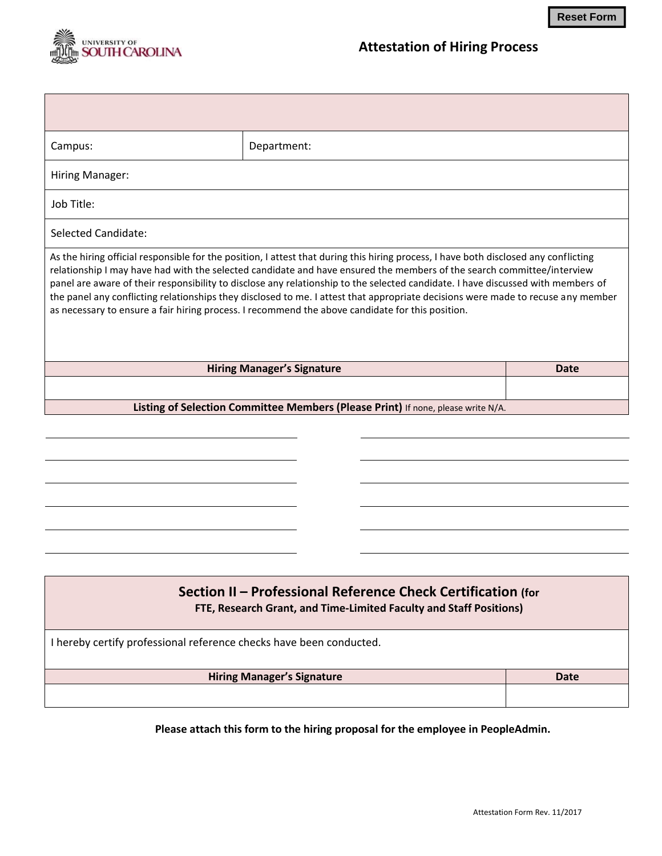

| Campus:                                                                                                                                                                                                                                                                                                                                                                                                                                                                                                                                                                                                                                    | Department: |             |
|--------------------------------------------------------------------------------------------------------------------------------------------------------------------------------------------------------------------------------------------------------------------------------------------------------------------------------------------------------------------------------------------------------------------------------------------------------------------------------------------------------------------------------------------------------------------------------------------------------------------------------------------|-------------|-------------|
| Hiring Manager:                                                                                                                                                                                                                                                                                                                                                                                                                                                                                                                                                                                                                            |             |             |
| Job Title:                                                                                                                                                                                                                                                                                                                                                                                                                                                                                                                                                                                                                                 |             |             |
| Selected Candidate:                                                                                                                                                                                                                                                                                                                                                                                                                                                                                                                                                                                                                        |             |             |
| As the hiring official responsible for the position, I attest that during this hiring process, I have both disclosed any conflicting<br>relationship I may have had with the selected candidate and have ensured the members of the search committee/interview<br>panel are aware of their responsibility to disclose any relationship to the selected candidate. I have discussed with members of<br>the panel any conflicting relationships they disclosed to me. I attest that appropriate decisions were made to recuse any member<br>as necessary to ensure a fair hiring process. I recommend the above candidate for this position. |             |             |
| <b>Hiring Manager's Signature</b>                                                                                                                                                                                                                                                                                                                                                                                                                                                                                                                                                                                                          |             | <b>Date</b> |
|                                                                                                                                                                                                                                                                                                                                                                                                                                                                                                                                                                                                                                            |             |             |
| Listing of Selection Committee Members (Please Print) If none, please write N/A.                                                                                                                                                                                                                                                                                                                                                                                                                                                                                                                                                           |             |             |
|                                                                                                                                                                                                                                                                                                                                                                                                                                                                                                                                                                                                                                            |             |             |
|                                                                                                                                                                                                                                                                                                                                                                                                                                                                                                                                                                                                                                            |             |             |
|                                                                                                                                                                                                                                                                                                                                                                                                                                                                                                                                                                                                                                            |             |             |

## **Section II – Professional Reference Check Certification (for FTE, Research Grant, and Time-Limited Faculty and Staff Positions)**

I hereby certify professional reference checks have been conducted.

**Hiring Manager's Signature Date 2018** 

 **Please attach this form to the hiring proposal for the employee in PeopleAdmin.** 

**Reset Form**